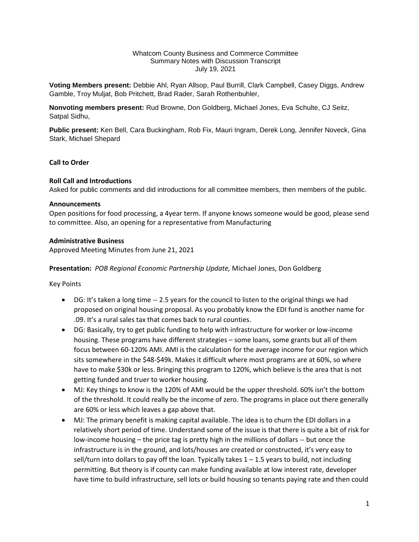#### Whatcom County Business and Commerce Committee Summary Notes with Discussion Transcript July 19, 2021

**Voting Members present:** Debbie Ahl, Ryan Allsop, Paul Burrill, Clark Campbell, Casey Diggs, Andrew Gamble, Troy Muljat, Bob Pritchett, Brad Rader, Sarah Rothenbuhler,

**Nonvoting members present:** Rud Browne, Don Goldberg, Michael Jones, Eva Schulte, CJ Seitz, Satpal Sidhu,

**Public present:** Ken Bell, Cara Buckingham, Rob Fix, Mauri Ingram, Derek Long, Jennifer Noveck, Gina Stark, Michael Shepard

## **Call to Order**

#### **Roll Call and Introductions**

Asked for public comments and did introductions for all committee members, then members of the public.

#### **Announcements**

Open positions for food processing, a 4year term. If anyone knows someone would be good, please send to committee. Also, an opening for a representative from Manufacturing

#### **Administrative Business**

Approved Meeting Minutes from June 21, 2021

**Presentation:** *POB Regional Economic Partnership Update,* Michael Jones, Don Goldberg

Key Points

- DG: It's taken a long time -- 2.5 years for the council to listen to the original things we had proposed on original housing proposal. As you probably know the EDI fund is another name for .09. It's a rural sales tax that comes back to rural counties.
- DG: Basically, try to get public funding to help with infrastructure for worker or low-income housing. These programs have different strategies – some loans, some grants but all of them focus between 60-120% AMI. AMI is the calculation for the average income for our region which sits somewhere in the \$48-\$49k. Makes it difficult where most programs are at 60%, so where have to make \$30k or less. Bringing this program to 120%, which believe is the area that is not getting funded and truer to worker housing.
- MJ: Key things to know is the 120% of AMI would be the upper threshold. 60% isn't the bottom of the threshold. It could really be the income of zero. The programs in place out there generally are 60% or less which leaves a gap above that.
- MJ: The primary benefit is making capital available. The idea is to churn the EDI dollars in a relatively short period of time. Understand some of the issue is that there is quite a bit of risk for low-income housing – the price tag is pretty high in the millions of dollars -- but once the infrastructure is in the ground, and lots/houses are created or constructed, it's very easy to sell/turn into dollars to pay off the loan. Typically takes  $1 - 1.5$  years to build, not including permitting. But theory is if county can make funding available at low interest rate, developer have time to build infrastructure, sell lots or build housing so tenants paying rate and then could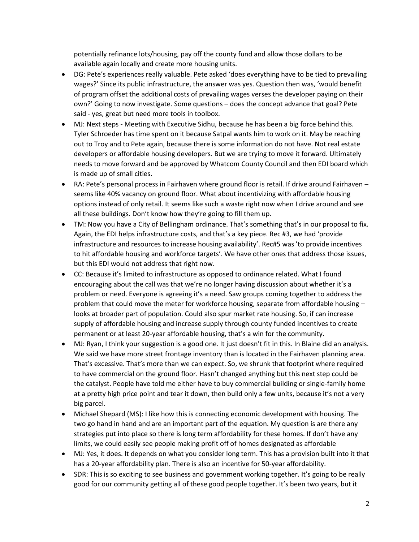potentially refinance lots/housing, pay off the county fund and allow those dollars to be available again locally and create more housing units.

- DG: Pete's experiences really valuable. Pete asked 'does everything have to be tied to prevailing wages?' Since its public infrastructure, the answer was yes. Question then was, 'would benefit of program offset the additional costs of prevailing wages verses the developer paying on their own?' Going to now investigate. Some questions – does the concept advance that goal? Pete said - yes, great but need more tools in toolbox.
- MJ: Next steps Meeting with Executive Sidhu, because he has been a big force behind this. Tyler Schroeder has time spent on it because Satpal wants him to work on it. May be reaching out to Troy and to Pete again, because there is some information do not have. Not real estate developers or affordable housing developers. But we are trying to move it forward. Ultimately needs to move forward and be approved by Whatcom County Council and then EDI board which is made up of small cities.
- RA: Pete's personal process in Fairhaven where ground floor is retail. If drive around Fairhaven seems like 40% vacancy on ground floor. What about incentivizing with affordable housing options instead of only retail. It seems like such a waste right now when I drive around and see all these buildings. Don't know how they're going to fill them up.
- TM: Now you have a City of Bellingham ordinance. That's something that's in our proposal to fix. Again, the EDI helps infrastructure costs, and that's a key piece. Rec #3, we had 'provide infrastructure and resources to increase housing availability'. Rec#5 was 'to provide incentives to hit affordable housing and workforce targets'. We have other ones that address those issues, but this EDI would not address that right now.
- CC: Because it's limited to infrastructure as opposed to ordinance related. What I found encouraging about the call was that we're no longer having discussion about whether it's a problem or need. Everyone is agreeing it's a need. Saw groups coming together to address the problem that could move the meter for workforce housing, separate from affordable housing – looks at broader part of population. Could also spur market rate housing. So, if can increase supply of affordable housing and increase supply through county funded incentives to create permanent or at least 20-year affordable housing, that's a win for the community.
- MJ: Ryan, I think your suggestion is a good one. It just doesn't fit in this. In Blaine did an analysis. We said we have more street frontage inventory than is located in the Fairhaven planning area. That's excessive. That's more than we can expect. So, we shrunk that footprint where required to have commercial on the ground floor. Hasn't changed anything but this next step could be the catalyst. People have told me either have to buy commercial building or single-family home at a pretty high price point and tear it down, then build only a few units, because it's not a very big parcel.
- Michael Shepard (MS): I like how this is connecting economic development with housing. The two go hand in hand and are an important part of the equation. My question is are there any strategies put into place so there is long term affordability for these homes. If don't have any limits, we could easily see people making profit off of homes designated as affordable
- MJ: Yes, it does. It depends on what you consider long term. This has a provision built into it that has a 20-year affordability plan. There is also an incentive for 50-year affordability.
- SDR: This is so exciting to see business and government working together. It's going to be really good for our community getting all of these good people together. It's been two years, but it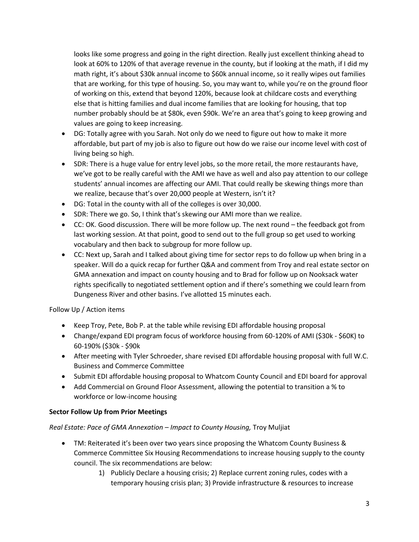looks like some progress and going in the right direction. Really just excellent thinking ahead to look at 60% to 120% of that average revenue in the county, but if looking at the math, if I did my math right, it's about \$30k annual income to \$60k annual income, so it really wipes out families that are working, for this type of housing. So, you may want to, while you're on the ground floor of working on this, extend that beyond 120%, because look at childcare costs and everything else that is hitting families and dual income families that are looking for housing, that top number probably should be at \$80k, even \$90k. We're an area that's going to keep growing and values are going to keep increasing.

- DG: Totally agree with you Sarah. Not only do we need to figure out how to make it more affordable, but part of my job is also to figure out how do we raise our income level with cost of living being so high.
- SDR: There is a huge value for entry level jobs, so the more retail, the more restaurants have, we've got to be really careful with the AMI we have as well and also pay attention to our college students' annual incomes are affecting our AMI. That could really be skewing things more than we realize, because that's over 20,000 people at Western, isn't it?
- DG: Total in the county with all of the colleges is over 30,000.
- SDR: There we go. So, I think that's skewing our AMI more than we realize.
- CC: OK. Good discussion. There will be more follow up. The next round the feedback got from last working session. At that point, good to send out to the full group so get used to working vocabulary and then back to subgroup for more follow up.
- CC: Next up, Sarah and I talked about giving time for sector reps to do follow up when bring in a speaker. Will do a quick recap for further Q&A and comment from Troy and real estate sector on GMA annexation and impact on county housing and to Brad for follow up on Nooksack water rights specifically to negotiated settlement option and if there's something we could learn from Dungeness River and other basins. I've allotted 15 minutes each.

# Follow Up / Action items

- Keep Troy, Pete, Bob P. at the table while revising EDI affordable housing proposal
- Change/expand EDI program focus of workforce housing from 60-120% of AMI (\$30k \$60K) to 60-190% (\$30k - \$90k
- After meeting with Tyler Schroeder, share revised EDI affordable housing proposal with full W.C. Business and Commerce Committee
- Submit EDI affordable housing proposal to Whatcom County Council and EDI board for approval
- Add Commercial on Ground Floor Assessment, allowing the potential to transition a % to workforce or low-income housing

# **Sector Follow Up from Prior Meetings**

# *Real Estate: Pace of GMA Annexation – Impact to County Housing,* Troy Muljiat

- TM: Reiterated it's been over two years since proposing the Whatcom County Business & Commerce Committee Six Housing Recommendations to increase housing supply to the county council. The six recommendations are below:
	- 1) Publicly Declare a housing crisis; 2) Replace current zoning rules, codes with a temporary housing crisis plan; 3) Provide infrastructure & resources to increase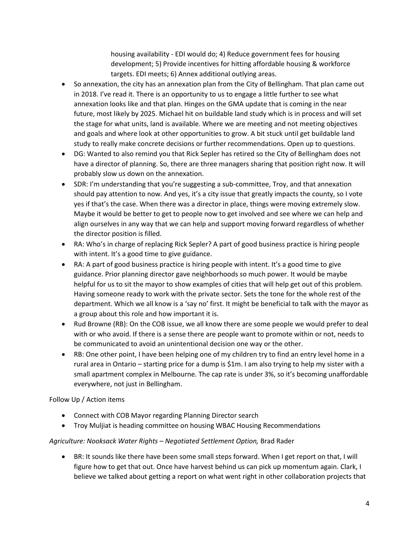housing availability - EDI would do; 4) Reduce government fees for housing development; 5) Provide incentives for hitting affordable housing & workforce targets. EDI meets; 6) Annex additional outlying areas.

- So annexation, the city has an annexation plan from the City of Bellingham. That plan came out in 2018. I've read it. There is an opportunity to us to engage a little further to see what annexation looks like and that plan. Hinges on the GMA update that is coming in the near future, most likely by 2025. Michael hit on buildable land study which is in process and will set the stage for what units, land is available. Where we are meeting and not meeting objectives and goals and where look at other opportunities to grow. A bit stuck until get buildable land study to really make concrete decisions or further recommendations. Open up to questions.
- DG: Wanted to also remind you that Rick Sepler has retired so the City of Bellingham does not have a director of planning. So, there are three managers sharing that position right now. It will probably slow us down on the annexation.
- SDR: I'm understanding that you're suggesting a sub-committee, Troy, and that annexation should pay attention to now. And yes, it's a city issue that greatly impacts the county, so I vote yes if that's the case. When there was a director in place, things were moving extremely slow. Maybe it would be better to get to people now to get involved and see where we can help and align ourselves in any way that we can help and support moving forward regardless of whether the director position is filled.
- RA: Who's in charge of replacing Rick Sepler? A part of good business practice is hiring people with intent. It's a good time to give guidance.
- RA: A part of good business practice is hiring people with intent. It's a good time to give guidance. Prior planning director gave neighborhoods so much power. It would be maybe helpful for us to sit the mayor to show examples of cities that will help get out of this problem. Having someone ready to work with the private sector. Sets the tone for the whole rest of the department. Which we all know is a 'say no' first. It might be beneficial to talk with the mayor as a group about this role and how important it is.
- Rud Browne (RB): On the COB issue, we all know there are some people we would prefer to deal with or who avoid. If there is a sense there are people want to promote within or not, needs to be communicated to avoid an unintentional decision one way or the other.
- RB: One other point, I have been helping one of my children try to find an entry level home in a rural area in Ontario – starting price for a dump is \$1m. I am also trying to help my sister with a small apartment complex in Melbourne. The cap rate is under 3%, so it's becoming unaffordable everywhere, not just in Bellingham.

# Follow Up / Action items

- Connect with COB Mayor regarding Planning Director search
- Troy Muljiat is heading committee on housing WBAC Housing Recommendations

# *Agriculture: Nooksack Water Rights – Negotiated Settlement Option,* Brad Rader

 BR: It sounds like there have been some small steps forward. When I get report on that, I will figure how to get that out. Once have harvest behind us can pick up momentum again. Clark, I believe we talked about getting a report on what went right in other collaboration projects that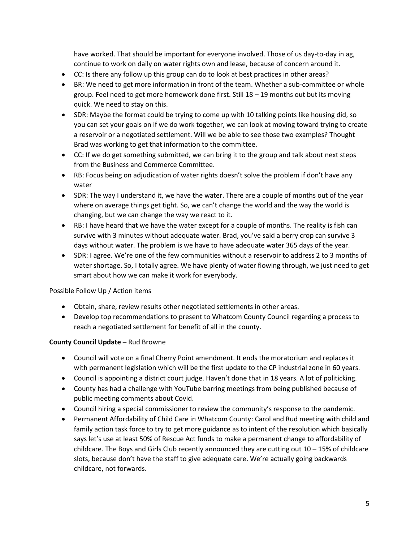have worked. That should be important for everyone involved. Those of us day-to-day in ag, continue to work on daily on water rights own and lease, because of concern around it.

- CC: Is there any follow up this group can do to look at best practices in other areas?
- BR: We need to get more information in front of the team. Whether a sub-committee or whole group. Feel need to get more homework done first. Still  $18 - 19$  months out but its moving quick. We need to stay on this.
- SDR: Maybe the format could be trying to come up with 10 talking points like housing did, so you can set your goals on if we do work together, we can look at moving toward trying to create a reservoir or a negotiated settlement. Will we be able to see those two examples? Thought Brad was working to get that information to the committee.
- CC: If we do get something submitted, we can bring it to the group and talk about next steps from the Business and Commerce Committee.
- RB: Focus being on adjudication of water rights doesn't solve the problem if don't have any water
- SDR: The way I understand it, we have the water. There are a couple of months out of the year where on average things get tight. So, we can't change the world and the way the world is changing, but we can change the way we react to it.
- RB: I have heard that we have the water except for a couple of months. The reality is fish can survive with 3 minutes without adequate water. Brad, you've said a berry crop can survive 3 days without water. The problem is we have to have adequate water 365 days of the year.
- SDR: I agree. We're one of the few communities without a reservoir to address 2 to 3 months of water shortage. So, I totally agree. We have plenty of water flowing through, we just need to get smart about how we can make it work for everybody.

## Possible Follow Up / Action items

- Obtain, share, review results other negotiated settlements in other areas.
- Develop top recommendations to present to Whatcom County Council regarding a process to reach a negotiated settlement for benefit of all in the county.

## **County Council Update –** Rud Browne

- Council will vote on a final Cherry Point amendment. It ends the moratorium and replaces it with permanent legislation which will be the first update to the CP industrial zone in 60 years.
- Council is appointing a district court judge. Haven't done that in 18 years. A lot of politicking.
- County has had a challenge with YouTube barring meetings from being published because of public meeting comments about Covid.
- Council hiring a special commissioner to review the community's response to the pandemic.
- Permanent Affordability of Child Care in Whatcom County: Carol and Rud meeting with child and family action task force to try to get more guidance as to intent of the resolution which basically says let's use at least 50% of Rescue Act funds to make a permanent change to affordability of childcare. The Boys and Girls Club recently announced they are cutting out  $10 - 15\%$  of childcare slots, because don't have the staff to give adequate care. We're actually going backwards childcare, not forwards.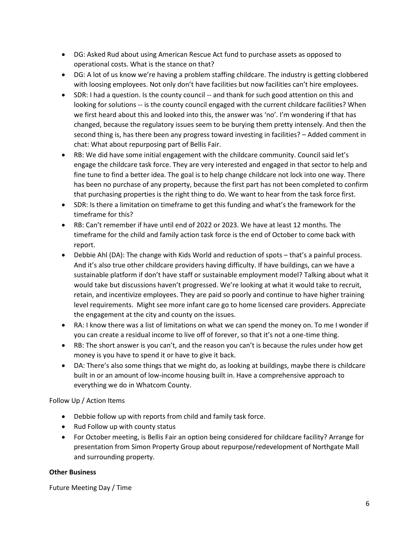- DG: Asked Rud about using American Rescue Act fund to purchase assets as opposed to operational costs. What is the stance on that?
- DG: A lot of us know we're having a problem staffing childcare. The industry is getting clobbered with loosing employees. Not only don't have facilities but now facilities can't hire employees.
- SDR: I had a question. Is the county council -- and thank for such good attention on this and looking for solutions -- is the county council engaged with the current childcare facilities? When we first heard about this and looked into this, the answer was 'no'. I'm wondering if that has changed, because the regulatory issues seem to be burying them pretty intensely. And then the second thing is, has there been any progress toward investing in facilities? – Added comment in chat: What about repurposing part of Bellis Fair.
- RB: We did have some initial engagement with the childcare community. Council said let's engage the childcare task force. They are very interested and engaged in that sector to help and fine tune to find a better idea. The goal is to help change childcare not lock into one way. There has been no purchase of any property, because the first part has not been completed to confirm that purchasing properties is the right thing to do. We want to hear from the task force first.
- SDR: Is there a limitation on timeframe to get this funding and what's the framework for the timeframe for this?
- RB: Can't remember if have until end of 2022 or 2023. We have at least 12 months. The timeframe for the child and family action task force is the end of October to come back with report.
- Debbie Ahl (DA): The change with Kids World and reduction of spots that's a painful process. And it's also true other childcare providers having difficulty. If have buildings, can we have a sustainable platform if don't have staff or sustainable employment model? Talking about what it would take but discussions haven't progressed. We're looking at what it would take to recruit, retain, and incentivize employees. They are paid so poorly and continue to have higher training level requirements. Might see more infant care go to home licensed care providers. Appreciate the engagement at the city and county on the issues.
- RA: I know there was a list of limitations on what we can spend the money on. To me I wonder if you can create a residual income to live off of forever, so that it's not a one-time thing.
- RB: The short answer is you can't, and the reason you can't is because the rules under how get money is you have to spend it or have to give it back.
- DA: There's also some things that we might do, as looking at buildings, maybe there is childcare built in or an amount of low-income housing built in. Have a comprehensive approach to everything we do in Whatcom County.

Follow Up / Action Items

- Debbie follow up with reports from child and family task force.
- Rud Follow up with county status
- For October meeting, is Bellis Fair an option being considered for childcare facility? Arrange for presentation from Simon Property Group about repurpose/redevelopment of Northgate Mall and surrounding property.

# **Other Business**

Future Meeting Day / Time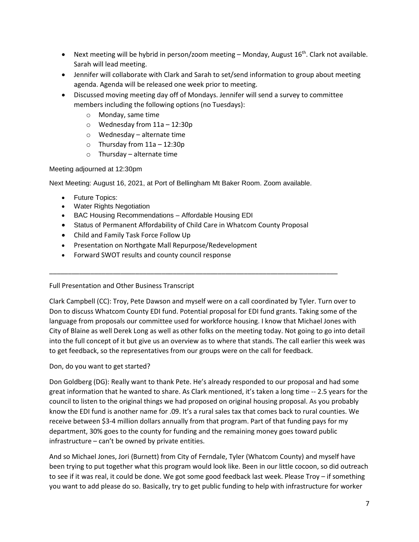- **•** Next meeting will be hybrid in person/zoom meeting Monday, August  $16<sup>th</sup>$ . Clark not available. Sarah will lead meeting.
- Jennifer will collaborate with Clark and Sarah to set/send information to group about meeting agenda. Agenda will be released one week prior to meeting.
- Discussed moving meeting day off of Mondays. Jennifer will send a survey to committee members including the following options (no Tuesdays):
	- o Monday, same time
	- $\circ$  Wednesday from 11a 12:30p
	- o Wednesday alternate time
	- $\circ$  Thursday from 11a 12:30p
	- o Thursday alternate time

## Meeting adjourned at 12:30pm

Next Meeting: August 16, 2021, at Port of Bellingham Mt Baker Room. Zoom available.

- Future Topics:
- Water Rights Negotiation
- BAC Housing Recommendations Affordable Housing EDI
- Status of Permanent Affordability of Child Care in Whatcom County Proposal

\_\_\_\_\_\_\_\_\_\_\_\_\_\_\_\_\_\_\_\_\_\_\_\_\_\_\_\_\_\_\_\_\_\_\_\_\_\_\_\_\_\_\_\_\_\_\_\_\_\_\_\_\_\_\_\_\_\_\_\_\_\_\_\_\_\_\_\_\_\_\_\_\_\_\_\_\_

- Child and Family Task Force Follow Up
- Presentation on Northgate Mall Repurpose/Redevelopment
- Forward SWOT results and county council response

## Full Presentation and Other Business Transcript

Clark Campbell (CC): Troy, Pete Dawson and myself were on a call coordinated by Tyler. Turn over to Don to discuss Whatcom County EDI fund. Potential proposal for EDI fund grants. Taking some of the language from proposals our committee used for workforce housing. I know that Michael Jones with City of Blaine as well Derek Long as well as other folks on the meeting today. Not going to go into detail into the full concept of it but give us an overview as to where that stands. The call earlier this week was to get feedback, so the representatives from our groups were on the call for feedback.

## Don, do you want to get started?

Don Goldberg (DG): Really want to thank Pete. He's already responded to our proposal and had some great information that he wanted to share. As Clark mentioned, it's taken a long time -- 2.5 years for the council to listen to the original things we had proposed on original housing proposal. As you probably know the EDI fund is another name for .09. It's a rural sales tax that comes back to rural counties. We receive between \$3-4 million dollars annually from that program. Part of that funding pays for my department, 30% goes to the county for funding and the remaining money goes toward public infrastructure – can't be owned by private entities.

And so Michael Jones, Jori (Burnett) from City of Ferndale, Tyler (Whatcom County) and myself have been trying to put together what this program would look like. Been in our little cocoon, so did outreach to see if it was real, it could be done. We got some good feedback last week. Please Troy – if something you want to add please do so. Basically, try to get public funding to help with infrastructure for worker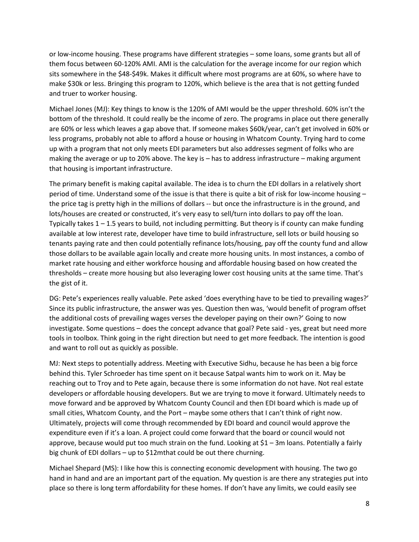or low-income housing. These programs have different strategies – some loans, some grants but all of them focus between 60-120% AMI. AMI is the calculation for the average income for our region which sits somewhere in the \$48-\$49k. Makes it difficult where most programs are at 60%, so where have to make \$30k or less. Bringing this program to 120%, which believe is the area that is not getting funded and truer to worker housing.

Michael Jones (MJ): Key things to know is the 120% of AMI would be the upper threshold. 60% isn't the bottom of the threshold. It could really be the income of zero. The programs in place out there generally are 60% or less which leaves a gap above that. If someone makes \$60k/year, can't get involved in 60% or less programs, probably not able to afford a house or housing in Whatcom County. Trying hard to come up with a program that not only meets EDI parameters but also addresses segment of folks who are making the average or up to 20% above. The key is – has to address infrastructure – making argument that housing is important infrastructure.

The primary benefit is making capital available. The idea is to churn the EDI dollars in a relatively short period of time. Understand some of the issue is that there is quite a bit of risk for low-income housing – the price tag is pretty high in the millions of dollars -- but once the infrastructure is in the ground, and lots/houses are created or constructed, it's very easy to sell/turn into dollars to pay off the loan. Typically takes 1 – 1.5 years to build, not including permitting. But theory is if county can make funding available at low interest rate, developer have time to build infrastructure, sell lots or build housing so tenants paying rate and then could potentially refinance lots/housing, pay off the county fund and allow those dollars to be available again locally and create more housing units. In most instances, a combo of market rate housing and either workforce housing and affordable housing based on how created the thresholds – create more housing but also leveraging lower cost housing units at the same time. That's the gist of it.

DG: Pete's experiences really valuable. Pete asked 'does everything have to be tied to prevailing wages?' Since its public infrastructure, the answer was yes. Question then was, 'would benefit of program offset the additional costs of prevailing wages verses the developer paying on their own?' Going to now investigate. Some questions – does the concept advance that goal? Pete said - yes, great but need more tools in toolbox. Think going in the right direction but need to get more feedback. The intention is good and want to roll out as quickly as possible.

MJ: Next steps to potentially address. Meeting with Executive Sidhu, because he has been a big force behind this. Tyler Schroeder has time spent on it because Satpal wants him to work on it. May be reaching out to Troy and to Pete again, because there is some information do not have. Not real estate developers or affordable housing developers. But we are trying to move it forward. Ultimately needs to move forward and be approved by Whatcom County Council and then EDI board which is made up of small cities, Whatcom County, and the Port – maybe some others that I can't think of right now. Ultimately, projects will come through recommended by EDI board and council would approve the expenditure even if it's a loan. A project could come forward that the board or council would not approve, because would put too much strain on the fund. Looking at \$1 – 3m loans. Potentially a fairly big chunk of EDI dollars – up to \$12mthat could be out there churning.

Michael Shepard (MS): I like how this is connecting economic development with housing. The two go hand in hand and are an important part of the equation. My question is are there any strategies put into place so there is long term affordability for these homes. If don't have any limits, we could easily see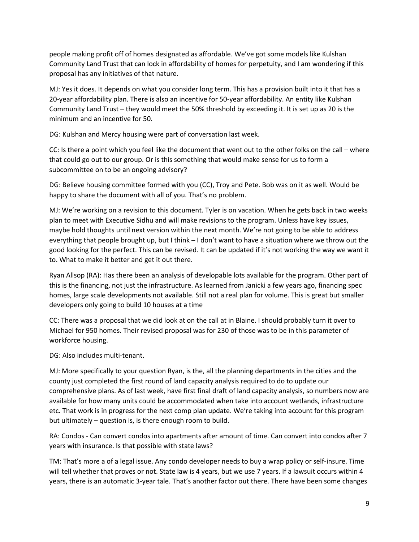people making profit off of homes designated as affordable. We've got some models like Kulshan Community Land Trust that can lock in affordability of homes for perpetuity, and I am wondering if this proposal has any initiatives of that nature.

MJ: Yes it does. It depends on what you consider long term. This has a provision built into it that has a 20-year affordability plan. There is also an incentive for 50-year affordability. An entity like Kulshan Community Land Trust – they would meet the 50% threshold by exceeding it. It is set up as 20 is the minimum and an incentive for 50.

DG: Kulshan and Mercy housing were part of conversation last week.

CC: Is there a point which you feel like the document that went out to the other folks on the call – where that could go out to our group. Or is this something that would make sense for us to form a subcommittee on to be an ongoing advisory?

DG: Believe housing committee formed with you (CC), Troy and Pete. Bob was on it as well. Would be happy to share the document with all of you. That's no problem.

MJ: We're working on a revision to this document. Tyler is on vacation. When he gets back in two weeks plan to meet with Executive Sidhu and will make revisions to the program. Unless have key issues, maybe hold thoughts until next version within the next month. We're not going to be able to address everything that people brought up, but I think – I don't want to have a situation where we throw out the good looking for the perfect. This can be revised. It can be updated if it's not working the way we want it to. What to make it better and get it out there.

Ryan Allsop (RA): Has there been an analysis of developable lots available for the program. Other part of this is the financing, not just the infrastructure. As learned from Janicki a few years ago, financing spec homes, large scale developments not available. Still not a real plan for volume. This is great but smaller developers only going to build 10 houses at a time

CC: There was a proposal that we did look at on the call at in Blaine. I should probably turn it over to Michael for 950 homes. Their revised proposal was for 230 of those was to be in this parameter of workforce housing.

DG: Also includes multi-tenant.

MJ: More specifically to your question Ryan, is the, all the planning departments in the cities and the county just completed the first round of land capacity analysis required to do to update our comprehensive plans. As of last week, have first final draft of land capacity analysis, so numbers now are available for how many units could be accommodated when take into account wetlands, infrastructure etc. That work is in progress for the next comp plan update. We're taking into account for this program but ultimately – question is, is there enough room to build.

RA: Condos - Can convert condos into apartments after amount of time. Can convert into condos after 7 years with insurance. Is that possible with state laws?

TM: That's more a of a legal issue. Any condo developer needs to buy a wrap policy or self-insure. Time will tell whether that proves or not. State law is 4 years, but we use 7 years. If a lawsuit occurs within 4 years, there is an automatic 3-year tale. That's another factor out there. There have been some changes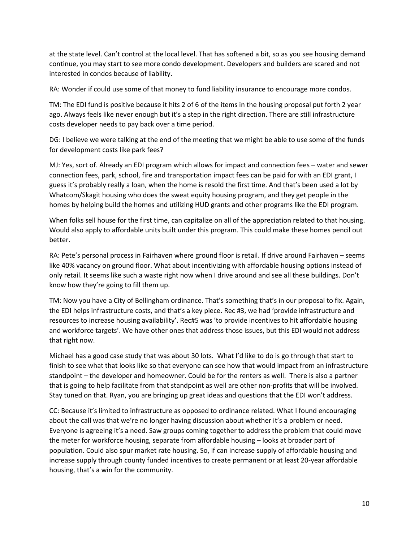at the state level. Can't control at the local level. That has softened a bit, so as you see housing demand continue, you may start to see more condo development. Developers and builders are scared and not interested in condos because of liability.

RA: Wonder if could use some of that money to fund liability insurance to encourage more condos.

TM: The EDI fund is positive because it hits 2 of 6 of the items in the housing proposal put forth 2 year ago. Always feels like never enough but it's a step in the right direction. There are still infrastructure costs developer needs to pay back over a time period.

DG: I believe we were talking at the end of the meeting that we might be able to use some of the funds for development costs like park fees?

MJ: Yes, sort of. Already an EDI program which allows for impact and connection fees – water and sewer connection fees, park, school, fire and transportation impact fees can be paid for with an EDI grant, I guess it's probably really a loan, when the home is resold the first time. And that's been used a lot by Whatcom/Skagit housing who does the sweat equity housing program, and they get people in the homes by helping build the homes and utilizing HUD grants and other programs like the EDI program.

When folks sell house for the first time, can capitalize on all of the appreciation related to that housing. Would also apply to affordable units built under this program. This could make these homes pencil out better.

RA: Pete's personal process in Fairhaven where ground floor is retail. If drive around Fairhaven – seems like 40% vacancy on ground floor. What about incentivizing with affordable housing options instead of only retail. It seems like such a waste right now when I drive around and see all these buildings. Don't know how they're going to fill them up.

TM: Now you have a City of Bellingham ordinance. That's something that's in our proposal to fix. Again, the EDI helps infrastructure costs, and that's a key piece. Rec #3, we had 'provide infrastructure and resources to increase housing availability'. Rec#5 was 'to provide incentives to hit affordable housing and workforce targets'. We have other ones that address those issues, but this EDI would not address that right now.

Michael has a good case study that was about 30 lots. What I'd like to do is go through that start to finish to see what that looks like so that everyone can see how that would impact from an infrastructure standpoint – the developer and homeowner. Could be for the renters as well. There is also a partner that is going to help facilitate from that standpoint as well are other non-profits that will be involved. Stay tuned on that. Ryan, you are bringing up great ideas and questions that the EDI won't address.

CC: Because it's limited to infrastructure as opposed to ordinance related. What I found encouraging about the call was that we're no longer having discussion about whether it's a problem or need. Everyone is agreeing it's a need. Saw groups coming together to address the problem that could move the meter for workforce housing, separate from affordable housing – looks at broader part of population. Could also spur market rate housing. So, if can increase supply of affordable housing and increase supply through county funded incentives to create permanent or at least 20-year affordable housing, that's a win for the community.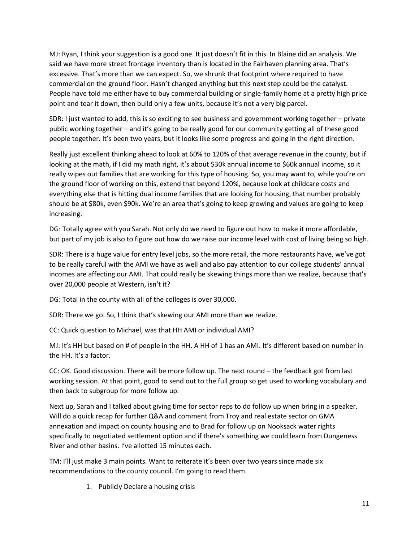MJ: Ryan, I think your suggestion is a good one. It just doesn't fit in this. In Blaine did an analysis. We said we have more street frontage inventory than is located in the Fairhaven planning area. That's excessive. That's more than we can expect. So, we shrunk that footprint where required to have commercial on the ground floor. Hasn't changed anything but this next step could be the catalyst. People have told me either have to buy commercial building or single-family home at a pretty high price point and tear it down, then build only a few units, because it's not a very big parcel.

SDR: I just wanted to add, this is so exciting to see business and government working together – private public working together – and it's going to be really good for our community getting all of these good people together. It's been two years, but it looks like some progress and going in the right direction.

Really just excellent thinking ahead to look at 60% to 120% of that average revenue in the county, but if looking at the math, if I did my math right, it's about \$30k annual income to \$60k annual income, so it really wipes out families that are working for this type of housing. So, you may want to, while you're on the ground floor of working on this, extend that beyond 120%, because look at childcare costs and everything else that is hitting dual income families that are looking for housing, that number probably should be at \$80k, even \$90k. We're an area that's going to keep growing and values are going to keep increasing.

DG: Totally agree with you Sarah. Not only do we need to figure out how to make it more affordable, but part of my job is also to figure out how do we raise our income level with cost of living being so high.

SDR: There is a huge value for entry level jobs, so the more retail, the more restaurants have, we've got to be really careful with the AMI we have as well and also pay attention to our college students' annual incomes are affecting our AMI. That could really be skewing things more than we realize, because that's over 20,000 people at Western, isn't it?

DG: Total in the county with all of the colleges is over 30,000.

SDR: There we go. So, I think that's skewing our AMI more than we realize.

CC: Quick question to Michael, was that HH AMI or individual AMI?

MJ: It's HH but based on # of people in the HH. A HH of 1 has an AMI. It's different based on number in the HH. It's a factor.

CC: OK. Good discussion. There will be more follow up. The next round – the feedback got from last working session. At that point, good to send out to the full group so get used to working vocabulary and then back to subgroup for more follow up.

Next up, Sarah and I talked about giving time for sector reps to do follow up when bring in a speaker. Will do a quick recap for further Q&A and comment from Troy and real estate sector on GMA annexation and impact on county housing and to Brad for follow up on Nooksack water rights specifically to negotiated settlement option and if there's something we could learn from Dungeness River and other basins. I've allotted 15 minutes each.

TM: I'll just make 3 main points. Want to reiterate it's been over two years since made six recommendations to the county council. I'm going to read them.

1. Publicly Declare a housing crisis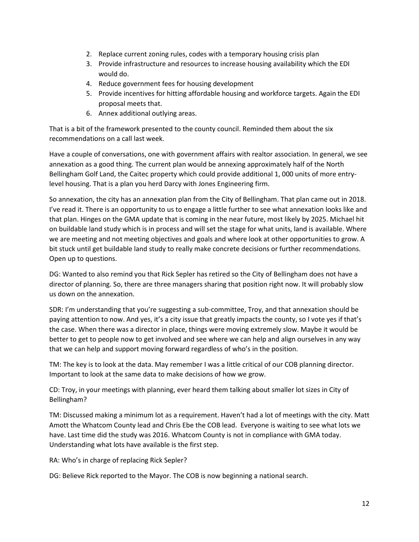- 2. Replace current zoning rules, codes with a temporary housing crisis plan
- 3. Provide infrastructure and resources to increase housing availability which the EDI would do.
- 4. Reduce government fees for housing development
- 5. Provide incentives for hitting affordable housing and workforce targets. Again the EDI proposal meets that.
- 6. Annex additional outlying areas.

That is a bit of the framework presented to the county council. Reminded them about the six recommendations on a call last week.

Have a couple of conversations, one with government affairs with realtor association. In general, we see annexation as a good thing. The current plan would be annexing approximately half of the North Bellingham Golf Land, the Caitec property which could provide additional 1, 000 units of more entrylevel housing. That is a plan you herd Darcy with Jones Engineering firm.

So annexation, the city has an annexation plan from the City of Bellingham. That plan came out in 2018. I've read it. There is an opportunity to us to engage a little further to see what annexation looks like and that plan. Hinges on the GMA update that is coming in the near future, most likely by 2025. Michael hit on buildable land study which is in process and will set the stage for what units, land is available. Where we are meeting and not meeting objectives and goals and where look at other opportunities to grow. A bit stuck until get buildable land study to really make concrete decisions or further recommendations. Open up to questions.

DG: Wanted to also remind you that Rick Sepler has retired so the City of Bellingham does not have a director of planning. So, there are three managers sharing that position right now. It will probably slow us down on the annexation.

SDR: I'm understanding that you're suggesting a sub-committee, Troy, and that annexation should be paying attention to now. And yes, it's a city issue that greatly impacts the county, so I vote yes if that's the case. When there was a director in place, things were moving extremely slow. Maybe it would be better to get to people now to get involved and see where we can help and align ourselves in any way that we can help and support moving forward regardless of who's in the position.

TM: The key is to look at the data. May remember I was a little critical of our COB planning director. Important to look at the same data to make decisions of how we grow.

CD: Troy, in your meetings with planning, ever heard them talking about smaller lot sizes in City of Bellingham?

TM: Discussed making a minimum lot as a requirement. Haven't had a lot of meetings with the city. Matt Amott the Whatcom County lead and Chris Ebe the COB lead. Everyone is waiting to see what lots we have. Last time did the study was 2016. Whatcom County is not in compliance with GMA today. Understanding what lots have available is the first step.

RA: Who's in charge of replacing Rick Sepler?

DG: Believe Rick reported to the Mayor. The COB is now beginning a national search.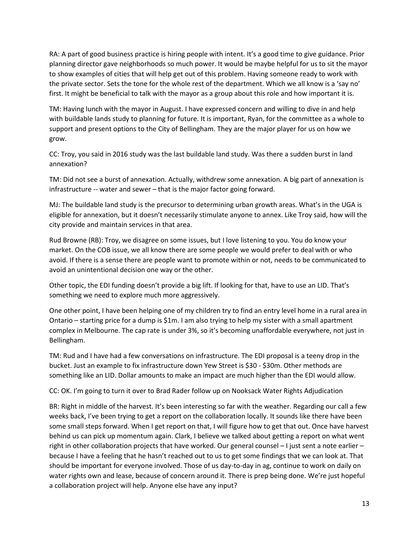RA: A part of good business practice is hiring people with intent. It's a good time to give guidance. Prior planning director gave neighborhoods so much power. It would be maybe helpful for us to sit the mayor to show examples of cities that will help get out of this problem. Having someone ready to work with the private sector. Sets the tone for the whole rest of the department. Which we all know is a 'say no' first. It might be beneficial to talk with the mayor as a group about this role and how important it is.

TM: Having lunch with the mayor in August. I have expressed concern and willing to dive in and help with buildable lands study to planning for future. It is important, Ryan, for the committee as a whole to support and present options to the City of Bellingham. They are the major player for us on how we grow.

CC: Troy, you said in 2016 study was the last buildable land study. Was there a sudden burst in land annexation?

TM: Did not see a burst of annexation. Actually, withdrew some annexation. A big part of annexation is infrastructure -- water and sewer – that is the major factor going forward.

MJ: The buildable land study is the precursor to determining urban growth areas. What's in the UGA is eligible for annexation, but it doesn't necessarily stimulate anyone to annex. Like Troy said, how will the city provide and maintain services in that area.

Rud Browne (RB): Troy, we disagree on some issues, but I love listening to you. You do know your market. On the COB issue, we all know there are some people we would prefer to deal with or who avoid. If there is a sense there are people want to promote within or not, needs to be communicated to avoid an unintentional decision one way or the other.

Other topic, the EDI funding doesn't provide a big lift. If looking for that, have to use an LID. That's something we need to explore much more aggressively.

One other point, I have been helping one of my children try to find an entry level home in a rural area in Ontario – starting price for a dump is \$1m. I am also trying to help my sister with a small apartment complex in Melbourne. The cap rate is under 3%, so it's becoming unaffordable everywhere, not just in Bellingham.

TM: Rud and I have had a few conversations on infrastructure. The EDI proposal is a teeny drop in the bucket. Just an example to fix infrastructure down Yew Street is \$30 - \$30m. Other methods are something like an LID. Dollar amounts to make an impact are much higher than the EDI would allow.

CC: OK. I'm going to turn it over to Brad Rader follow up on Nooksack Water Rights Adjudication

BR: Right in middle of the harvest. It's been interesting so far with the weather. Regarding our call a few weeks back, I've been trying to get a report on the collaboration locally. It sounds like there have been some small steps forward. When I get report on that, I will figure how to get that out. Once have harvest behind us can pick up momentum again. Clark, I believe we talked about getting a report on what went right in other collaboration projects that have worked. Our general counsel – I just sent a note earlier – because I have a feeling that he hasn't reached out to us to get some findings that we can look at. That should be important for everyone involved. Those of us day-to-day in ag, continue to work on daily on water rights own and lease, because of concern around it. There is prep being done. We're just hopeful a collaboration project will help. Anyone else have any input?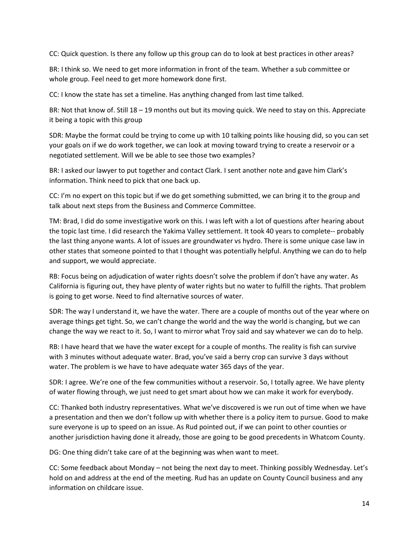CC: Quick question. Is there any follow up this group can do to look at best practices in other areas?

BR: I think so. We need to get more information in front of the team. Whether a sub committee or whole group. Feel need to get more homework done first.

CC: I know the state has set a timeline. Has anything changed from last time talked.

BR: Not that know of. Still 18 – 19 months out but its moving quick. We need to stay on this. Appreciate it being a topic with this group

SDR: Maybe the format could be trying to come up with 10 talking points like housing did, so you can set your goals on if we do work together, we can look at moving toward trying to create a reservoir or a negotiated settlement. Will we be able to see those two examples?

BR: I asked our lawyer to put together and contact Clark. I sent another note and gave him Clark's information. Think need to pick that one back up.

CC: I'm no expert on this topic but if we do get something submitted, we can bring it to the group and talk about next steps from the Business and Commerce Committee.

TM: Brad, I did do some investigative work on this. I was left with a lot of questions after hearing about the topic last time. I did research the Yakima Valley settlement. It took 40 years to complete-- probably the last thing anyone wants. A lot of issues are groundwater vs hydro. There is some unique case law in other states that someone pointed to that I thought was potentially helpful. Anything we can do to help and support, we would appreciate.

RB: Focus being on adjudication of water rights doesn't solve the problem if don't have any water. As California is figuring out, they have plenty of water rights but no water to fulfill the rights. That problem is going to get worse. Need to find alternative sources of water.

SDR: The way I understand it, we have the water. There are a couple of months out of the year where on average things get tight. So, we can't change the world and the way the world is changing, but we can change the way we react to it. So, I want to mirror what Troy said and say whatever we can do to help.

RB: I have heard that we have the water except for a couple of months. The reality is fish can survive with 3 minutes without adequate water. Brad, you've said a berry crop can survive 3 days without water. The problem is we have to have adequate water 365 days of the year.

SDR: I agree. We're one of the few communities without a reservoir. So, I totally agree. We have plenty of water flowing through, we just need to get smart about how we can make it work for everybody.

CC: Thanked both industry representatives. What we've discovered is we run out of time when we have a presentation and then we don't follow up with whether there is a policy item to pursue. Good to make sure everyone is up to speed on an issue. As Rud pointed out, if we can point to other counties or another jurisdiction having done it already, those are going to be good precedents in Whatcom County.

DG: One thing didn't take care of at the beginning was when want to meet.

CC: Some feedback about Monday – not being the next day to meet. Thinking possibly Wednesday. Let's hold on and address at the end of the meeting. Rud has an update on County Council business and any information on childcare issue.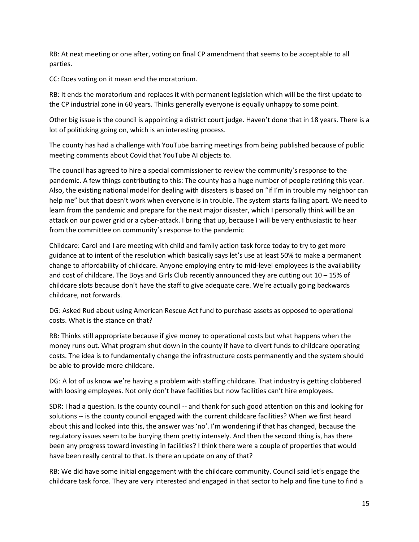RB: At next meeting or one after, voting on final CP amendment that seems to be acceptable to all parties.

CC: Does voting on it mean end the moratorium.

RB: It ends the moratorium and replaces it with permanent legislation which will be the first update to the CP industrial zone in 60 years. Thinks generally everyone is equally unhappy to some point.

Other big issue is the council is appointing a district court judge. Haven't done that in 18 years. There is a lot of politicking going on, which is an interesting process.

The county has had a challenge with YouTube barring meetings from being published because of public meeting comments about Covid that YouTube AI objects to.

The council has agreed to hire a special commissioner to review the community's response to the pandemic. A few things contributing to this: The county has a huge number of people retiring this year. Also, the existing national model for dealing with disasters is based on "if I'm in trouble my neighbor can help me" but that doesn't work when everyone is in trouble. The system starts falling apart. We need to learn from the pandemic and prepare for the next major disaster, which I personally think will be an attack on our power grid or a cyber-attack. I bring that up, because I will be very enthusiastic to hear from the committee on community's response to the pandemic

Childcare: Carol and I are meeting with child and family action task force today to try to get more guidance at to intent of the resolution which basically says let's use at least 50% to make a permanent change to affordability of childcare. Anyone employing entry to mid-level employees is the availability and cost of childcare. The Boys and Girls Club recently announced they are cutting out 10 – 15% of childcare slots because don't have the staff to give adequate care. We're actually going backwards childcare, not forwards.

DG: Asked Rud about using American Rescue Act fund to purchase assets as opposed to operational costs. What is the stance on that?

RB: Thinks still appropriate because if give money to operational costs but what happens when the money runs out. What program shut down in the county if have to divert funds to childcare operating costs. The idea is to fundamentally change the infrastructure costs permanently and the system should be able to provide more childcare.

DG: A lot of us know we're having a problem with staffing childcare. That industry is getting clobbered with loosing employees. Not only don't have facilities but now facilities can't hire employees.

SDR: I had a question. Is the county council -- and thank for such good attention on this and looking for solutions -- is the county council engaged with the current childcare facilities? When we first heard about this and looked into this, the answer was 'no'. I'm wondering if that has changed, because the regulatory issues seem to be burying them pretty intensely. And then the second thing is, has there been any progress toward investing in facilities? I think there were a couple of properties that would have been really central to that. Is there an update on any of that?

RB: We did have some initial engagement with the childcare community. Council said let's engage the childcare task force. They are very interested and engaged in that sector to help and fine tune to find a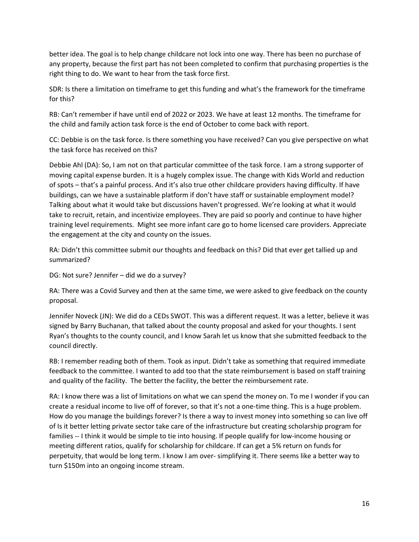better idea. The goal is to help change childcare not lock into one way. There has been no purchase of any property, because the first part has not been completed to confirm that purchasing properties is the right thing to do. We want to hear from the task force first.

SDR: Is there a limitation on timeframe to get this funding and what's the framework for the timeframe for this?

RB: Can't remember if have until end of 2022 or 2023. We have at least 12 months. The timeframe for the child and family action task force is the end of October to come back with report.

CC: Debbie is on the task force. Is there something you have received? Can you give perspective on what the task force has received on this?

Debbie Ahl (DA): So, I am not on that particular committee of the task force. I am a strong supporter of moving capital expense burden. It is a hugely complex issue. The change with Kids World and reduction of spots – that's a painful process. And it's also true other childcare providers having difficulty. If have buildings, can we have a sustainable platform if don't have staff or sustainable employment model? Talking about what it would take but discussions haven't progressed. We're looking at what it would take to recruit, retain, and incentivize employees. They are paid so poorly and continue to have higher training level requirements. Might see more infant care go to home licensed care providers. Appreciate the engagement at the city and county on the issues.

RA: Didn't this committee submit our thoughts and feedback on this? Did that ever get tallied up and summarized?

DG: Not sure? Jennifer – did we do a survey?

RA: There was a Covid Survey and then at the same time, we were asked to give feedback on the county proposal.

Jennifer Noveck (JN): We did do a CEDs SWOT. This was a different request. It was a letter, believe it was signed by Barry Buchanan, that talked about the county proposal and asked for your thoughts. I sent Ryan's thoughts to the county council, and I know Sarah let us know that she submitted feedback to the council directly.

RB: I remember reading both of them. Took as input. Didn't take as something that required immediate feedback to the committee. I wanted to add too that the state reimbursement is based on staff training and quality of the facility. The better the facility, the better the reimbursement rate.

RA: I know there was a list of limitations on what we can spend the money on. To me I wonder if you can create a residual income to live off of forever, so that it's not a one-time thing. This is a huge problem. How do you manage the buildings forever? Is there a way to invest money into something so can live off of Is it better letting private sector take care of the infrastructure but creating scholarship program for families -- I think it would be simple to tie into housing. If people qualify for low-income housing or meeting different ratios, qualify for scholarship for childcare. If can get a 5% return on funds for perpetuity, that would be long term. I know I am over- simplifying it. There seems like a better way to turn \$150m into an ongoing income stream.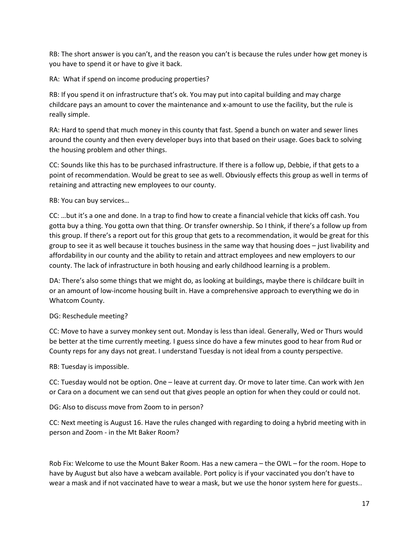RB: The short answer is you can't, and the reason you can't is because the rules under how get money is you have to spend it or have to give it back.

RA: What if spend on income producing properties?

RB: If you spend it on infrastructure that's ok. You may put into capital building and may charge childcare pays an amount to cover the maintenance and x-amount to use the facility, but the rule is really simple.

RA: Hard to spend that much money in this county that fast. Spend a bunch on water and sewer lines around the county and then every developer buys into that based on their usage. Goes back to solving the housing problem and other things.

CC: Sounds like this has to be purchased infrastructure. If there is a follow up, Debbie, if that gets to a point of recommendation. Would be great to see as well. Obviously effects this group as well in terms of retaining and attracting new employees to our county.

RB: You can buy services…

CC: …but it's a one and done. In a trap to find how to create a financial vehicle that kicks off cash. You gotta buy a thing. You gotta own that thing. Or transfer ownership. So I think, if there's a follow up from this group. If there's a report out for this group that gets to a recommendation, it would be great for this group to see it as well because it touches business in the same way that housing does – just livability and affordability in our county and the ability to retain and attract employees and new employers to our county. The lack of infrastructure in both housing and early childhood learning is a problem.

DA: There's also some things that we might do, as looking at buildings, maybe there is childcare built in or an amount of low-income housing built in. Have a comprehensive approach to everything we do in Whatcom County.

# DG: Reschedule meeting?

CC: Move to have a survey monkey sent out. Monday is less than ideal. Generally, Wed or Thurs would be better at the time currently meeting. I guess since do have a few minutes good to hear from Rud or County reps for any days not great. I understand Tuesday is not ideal from a county perspective.

RB: Tuesday is impossible.

CC: Tuesday would not be option. One – leave at current day. Or move to later time. Can work with Jen or Cara on a document we can send out that gives people an option for when they could or could not.

DG: Also to discuss move from Zoom to in person?

CC: Next meeting is August 16. Have the rules changed with regarding to doing a hybrid meeting with in person and Zoom - in the Mt Baker Room?

Rob Fix: Welcome to use the Mount Baker Room. Has a new camera – the OWL – for the room. Hope to have by August but also have a webcam available. Port policy is if your vaccinated you don't have to wear a mask and if not vaccinated have to wear a mask, but we use the honor system here for guests..